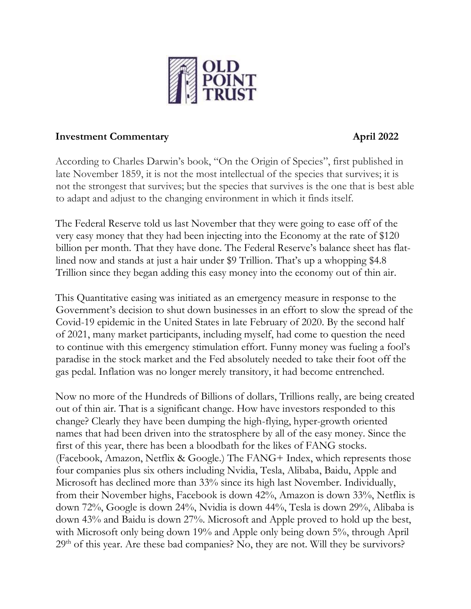

#### **Investment Commentary April 2022**

According to Charles Darwin's book, "On the Origin of Species", first published in late November 1859, it is not the most intellectual of the species that survives; it is not the strongest that survives; but the species that survives is the one that is best able to adapt and adjust to the changing environment in which it finds itself.

The Federal Reserve told us last November that they were going to ease off of the very easy money that they had been injecting into the Economy at the rate of \$120 billion per month. That they have done. The Federal Reserve's balance sheet has flatlined now and stands at just a hair under \$9 Trillion. That's up a whopping \$4.8 Trillion since they began adding this easy money into the economy out of thin air.

This Quantitative easing was initiated as an emergency measure in response to the Government's decision to shut down businesses in an effort to slow the spread of the Covid-19 epidemic in the United States in late February of 2020. By the second half of 2021, many market participants, including myself, had come to question the need to continue with this emergency stimulation effort. Funny money was fueling a fool's paradise in the stock market and the Fed absolutely needed to take their foot off the gas pedal. Inflation was no longer merely transitory, it had become entrenched.

Now no more of the Hundreds of Billions of dollars, Trillions really, are being created out of thin air. That is a significant change. How have investors responded to this change? Clearly they have been dumping the high-flying, hyper-growth oriented names that had been driven into the stratosphere by all of the easy money. Since the first of this year, there has been a bloodbath for the likes of FANG stocks. (Facebook, Amazon, Netflix & Google.) The FANG+ Index, which represents those four companies plus six others including Nvidia, Tesla, Alibaba, Baidu, Apple and Microsoft has declined more than 33% since its high last November. Individually, from their November highs, Facebook is down 42%, Amazon is down 33%, Netflix is down 72%, Google is down 24%, Nvidia is down 44%, Tesla is down 29%, Alibaba is down 43% and Baidu is down 27%. Microsoft and Apple proved to hold up the best, with Microsoft only being down 19% and Apple only being down 5%, through April  $29<sup>th</sup>$  of this year. Are these bad companies? No, they are not. Will they be survivors?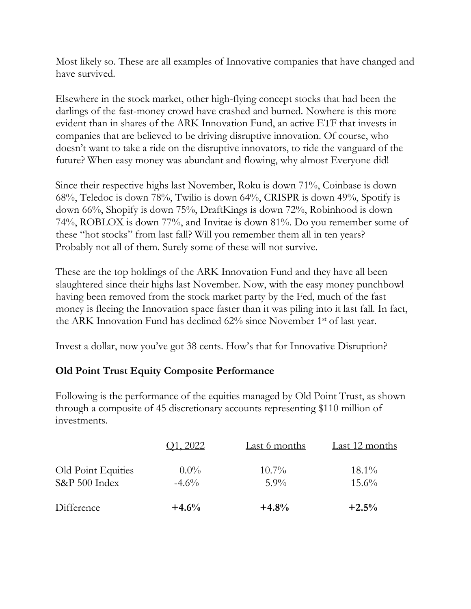Most likely so. These are all examples of Innovative companies that have changed and have survived*.*

Elsewhere in the stock market, other high-flying concept stocks that had been the darlings of the fast-money crowd have crashed and burned. Nowhere is this more evident than in shares of the ARK Innovation Fund, an active ETF that invests in companies that are believed to be driving disruptive innovation. Of course, who doesn't want to take a ride on the disruptive innovators, to ride the vanguard of the future? When easy money was abundant and flowing, why almost Everyone did!

Since their respective highs last November, Roku is down 71%, Coinbase is down 68%, Teledoc is down 78%, Twilio is down 64%, CRISPR is down 49%, Spotify is down 66%, Shopify is down 75%, DraftKings is down 72%, Robinhood is down 74%, ROBLOX is down 77%, and Invitae is down 81%. Do you remember some of these "hot stocks" from last fall? Will you remember them all in ten years? Probably not all of them. Surely some of these will not survive.

These are the top holdings of the ARK Innovation Fund and they have all been slaughtered since their highs last November. Now, with the easy money punchbowl having been removed from the stock market party by the Fed, much of the fast money is fleeing the Innovation space faster than it was piling into it last fall. In fact, the ARK Innovation Fund has declined 62% since November 1<sup>st</sup> of last year.

Invest a dollar, now you've got 38 cents. How's that for Innovative Disruption?

# **Old Point Trust Equity Composite Performance**

Following is the performance of the equities managed by Old Point Trust, as shown through a composite of 45 discretionary accounts representing \$110 million of investments.

|                                     | 1, 2022             | Last 6 months       | Last 12 months       |
|-------------------------------------|---------------------|---------------------|----------------------|
| Old Point Equities<br>S&P 500 Index | $0.0\%$<br>$-4.6\%$ | $10.7\%$<br>$5.9\%$ | $18.1\%$<br>$15.6\%$ |
| Difference                          | $+4.6%$             | $+4.8%$             | $+2.5%$              |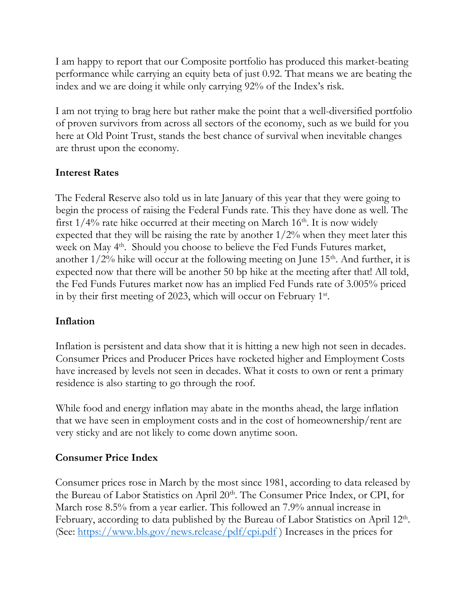I am happy to report that our Composite portfolio has produced this market-beating performance while carrying an equity beta of just 0.92. That means we are beating the index and we are doing it while only carrying 92% of the Index's risk.

I am not trying to brag here but rather make the point that a well-diversified portfolio of proven survivors from across all sectors of the economy, such as we build for you here at Old Point Trust, stands the best chance of survival when inevitable changes are thrust upon the economy.

### **Interest Rates**

The Federal Reserve also told us in late January of this year that they were going to begin the process of raising the Federal Funds rate. This they have done as well. The first  $1/4\%$  rate hike occurred at their meeting on March  $16<sup>th</sup>$ . It is now widely expected that they will be raising the rate by another  $1/2\%$  when they meet later this week on May 4<sup>th</sup>. Should you choose to believe the Fed Funds Futures market, another  $1/2\%$  hike will occur at the following meeting on June  $15<sup>th</sup>$ . And further, it is expected now that there will be another 50 bp hike at the meeting after that! All told, the Fed Funds Futures market now has an implied Fed Funds rate of 3.005% priced in by their first meeting of 2023, which will occur on February 1st.

## **Inflation**

Inflation is persistent and data show that it is hitting a new high not seen in decades. Consumer Prices and Producer Prices have rocketed higher and Employment Costs have increased by levels not seen in decades. What it costs to own or rent a primary residence is also starting to go through the roof.

While food and energy inflation may abate in the months ahead, the large inflation that we have seen in employment costs and in the cost of homeownership/rent are very sticky and are not likely to come down anytime soon.

#### **Consumer Price Index**

Consumer prices rose in March by the most since 1981, according to data released by the Bureau of Labor Statistics on April 20<sup>th</sup>. The Consumer Price Index, or CPI, for March rose 8.5% from a year earlier. This followed an 7.9% annual increase in February, according to data published by the Bureau of Labor Statistics on April 12<sup>th</sup>. (See:  $\frac{https://www.bls.gov/news. release/pdf/cpi.pdf}{https://www.bls.gov/news. release/pdf/cpi.pdf}$ ) Increases in the prices for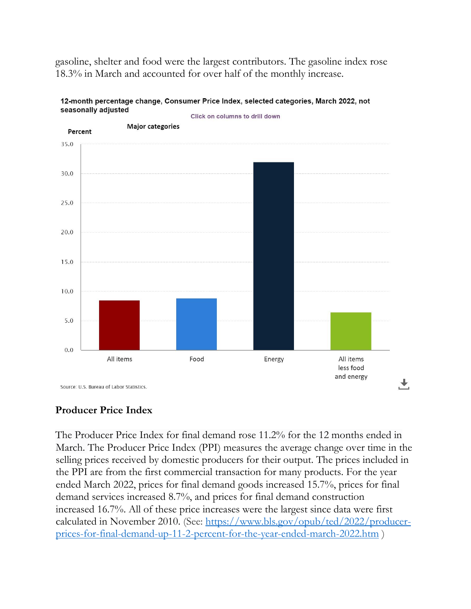gasoline, shelter and food were the largest contributors. The gasoline index rose 18.3% in March and accounted for over half of the monthly increase.



#### 12-month percentage change, Consumer Price Index, selected categories, March 2022, not seasonally adjusted Click on columns to drill down

**Producer Price Index**

The Producer Price Index for final demand rose 11.2% for the 12 months ended in March. The Producer Price Index (PPI) measures the average change over time in the selling prices received by domestic producers for their output. The prices included in the PPI are from the first commercial transaction for many products. For the year ended March 2022, prices for final demand goods increased 15.7%, prices for final demand services increased 8.7%, and prices for final demand construction increased 16.7%. All of these price increases were the largest since data were first calculated in November 2010. (See: [https://www.bls.gov/opub/ted/2022/producer](https://www.bls.gov/opub/ted/2022/producer-prices-for-final-demand-up-11-2-percent-for-the-year-ended-march-2022.htm)[prices-for-final-demand-up-11-2-percent-for-the-year-ended-march-2022.htm](https://www.bls.gov/opub/ted/2022/producer-prices-for-final-demand-up-11-2-percent-for-the-year-ended-march-2022.htm) )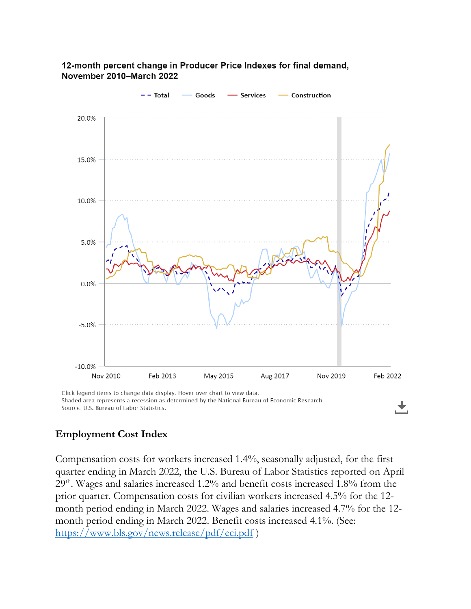



Click legend items to change data display. Hover over chart to view data. Shaded area represents a recession as determined by the National Bureau of Economic Research. Source: U.S. Bureau of Labor Statistics.

#### **Employment Cost Index**

Compensation costs for workers increased 1.4%, seasonally adjusted, for the first quarter ending in March 2022, the U.S. Bureau of Labor Statistics reported on April 29th. Wages and salaries increased 1.2% and benefit costs increased 1.8% from the prior quarter. Compensation costs for civilian workers increased 4.5% for the 12 month period ending in March 2022. Wages and salaries increased 4.7% for the 12 month period ending in March 2022. Benefit costs increased 4.1%. (See: <https://www.bls.gov/news.release/pdf/eci.pdf> )